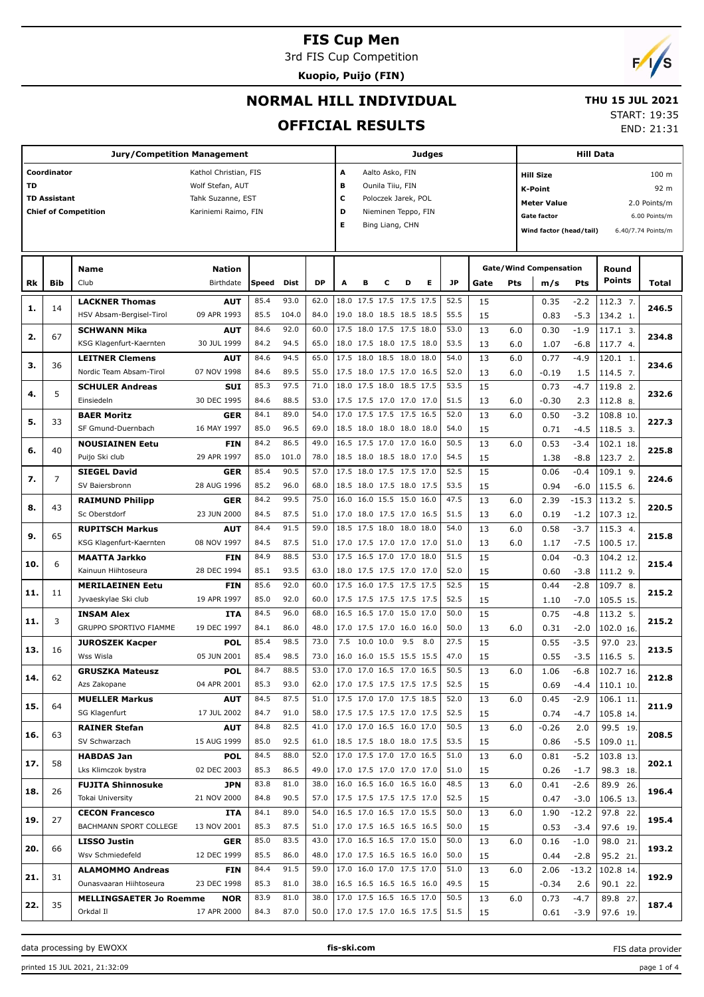3rd FIS Cup Competition

**Kuopio, Puijo (FIN)**



# **NORMAL HILL INDIVIDUAL**

#### **THU 15 JUL 2021**

### **OFFICIAL RESULTS**

START: 19:35

END: 21:31

|           |                     | <b>Jury/Competition Management</b> |                       |       |       |           |                          | Judges                                    |   |                     | Hill Data |      |      |                        |                                      |         |           |                    |  |
|-----------|---------------------|------------------------------------|-----------------------|-------|-------|-----------|--------------------------|-------------------------------------------|---|---------------------|-----------|------|------|------------------------|--------------------------------------|---------|-----------|--------------------|--|
|           | Coordinator         |                                    | Kathol Christian, FIS |       |       |           | A                        |                                           |   | Aalto Asko, FIN     |           |      |      |                        | 100 <sub>m</sub><br><b>Hill Size</b> |         |           |                    |  |
| <b>TD</b> |                     |                                    | Wolf Stefan, AUT      |       |       |           | в                        |                                           |   | Ounila Tiiu, FIN    |           |      |      | 92 m<br><b>K-Point</b> |                                      |         |           |                    |  |
|           | <b>TD Assistant</b> |                                    | Tahk Suzanne, EST     |       |       |           | с                        | Poloczek Jarek, POL<br><b>Meter Value</b> |   |                     |           |      |      |                        |                                      |         |           | 2.0 Points/m       |  |
|           |                     | <b>Chief of Competition</b>        | Kariniemi Raimo, FIN  |       |       |           | D                        |                                           |   | Nieminen Teppo, FIN |           |      |      |                        | <b>Gate factor</b>                   |         |           | 6.00 Points/m      |  |
|           |                     |                                    |                       |       |       |           | Е                        |                                           |   | Bing Liang, CHN     |           |      |      |                        |                                      |         |           | 6.40/7.74 Points/m |  |
|           |                     |                                    |                       |       |       |           |                          |                                           |   |                     |           |      |      |                        | Wind factor (head/tail)              |         |           |                    |  |
|           |                     |                                    |                       |       |       |           |                          |                                           |   |                     |           |      |      |                        |                                      |         |           |                    |  |
|           |                     | Name                               | <b>Nation</b>         |       |       |           |                          |                                           |   |                     |           |      |      |                        | <b>Gate/Wind Compensation</b>        |         | Round     |                    |  |
| Rk        | Bib                 | Club                               | Birthdate             | Speed | Dist  | <b>DP</b> | A                        | в                                         | c | D                   | Е         | JP   | Gate | Pts                    | m/s                                  | Pts     | Points    | Total              |  |
|           |                     | <b>LACKNER Thomas</b>              | <b>AUT</b>            | 85.4  | 93.0  | 62.0      |                          | 18.0 17.5 17.5 17.5 17.5                  |   |                     |           | 52.5 | 15   |                        | 0.35                                 | $-2.2$  | 112.3 7.  |                    |  |
| 1.        | 14                  | HSV Absam-Bergisel-Tirol           | 09 APR 1993           | 85.5  | 104.0 | 84.0      |                          | 19.0 18.0 18.5 18.5 18.5                  |   |                     |           | 55.5 | 15   |                        | 0.83                                 | $-5.3$  | 134.2 1.  | 246.5              |  |
|           |                     | <b>SCHWANN Mika</b>                | AUT                   | 84.6  | 92.0  | 60.0      |                          | 17.5 18.0 17.5 17.5 18.0                  |   |                     |           | 53.0 | 13   | 6.0                    | 0.30                                 | $-1.9$  | 117.1 3.  |                    |  |
| 2.        | 67                  | KSG Klagenfurt-Kaernten            | 30 JUL 1999           | 84.2  | 94.5  | 65.0      |                          | 18.0 17.5 18.0 17.5 18.0                  |   |                     |           | 53.5 | 13   | 6.0                    | 1.07                                 | $-6.8$  | 117.7 4.  | 234.8              |  |
|           |                     | <b>LEITNER Clemens</b>             | AUT                   | 84.6  | 94.5  | 65.0      |                          | 17.5 18.0 18.5 18.0 18.0                  |   |                     |           | 54.0 | 13   | 6.0                    | 0.77                                 | $-4.9$  | 120.1 1.  |                    |  |
| з.        | 36                  | Nordic Team Absam-Tirol            | 07 NOV 1998           | 84.6  | 89.5  | 55.0      |                          | 17.5 18.0 17.5 17.0 16.5                  |   |                     |           | 52.0 | 13   | 6.0                    | $-0.19$                              | 1.5     | 114.5 7.  | 234.6              |  |
|           |                     | <b>SCHULER Andreas</b>             | <b>SUI</b>            | 85.3  | 97.5  | 71.0      |                          | 18.0 17.5 18.0 18.5 17.5                  |   |                     |           | 53.5 | 15   |                        | 0.73                                 | $-4.7$  | 119.8 2.  |                    |  |
| 4.        | 5                   | Einsiedeln                         | 30 DEC 1995           | 84.6  | 88.5  | 53.0      |                          | 17.5 17.5 17.0 17.0 17.0                  |   |                     |           | 51.5 | 13   | 6.0                    | $-0.30$                              | 2.3     | 112.8 8.  | 232.6              |  |
|           |                     | <b>BAER Moritz</b>                 | <b>GER</b>            | 84.1  | 89.0  | 54.0      |                          | 17.0 17.5 17.5 17.5 16.5                  |   |                     |           | 52.0 | 13   | 6.0                    | 0.50                                 | $-3.2$  | 108.8 10. |                    |  |
| 5.        | 33                  | SF Gmund-Duernbach                 | 16 MAY 1997           | 85.0  | 96.5  | 69.0      |                          | 18.5 18.0 18.0 18.0 18.0                  |   |                     |           | 54.0 | 15   |                        | 0.71                                 | $-4.5$  | 118.5 3.  | 227.3              |  |
|           |                     | <b>NOUSIAINEN Eetu</b>             | FIN                   | 84.2  | 86.5  | 49.0      |                          | 16.5 17.5 17.0 17.0 16.0                  |   |                     |           | 50.5 | 13   | 6.0                    | 0.53                                 | $-3.4$  | 102.1 18. |                    |  |
| 6.        | 40                  | Puijo Ski club                     | 29 APR 1997           | 85.0  | 101.0 | 78.0      |                          | 18.5 18.0 18.5 18.0 17.0                  |   |                     |           | 54.5 | 15   |                        | 1.38                                 | $-8.8$  | 123.7 2.  | 225.8              |  |
|           |                     | <b>SIEGEL David</b>                | GER                   | 85.4  | 90.5  | 57.0      |                          | 17.5 18.0 17.5 17.5 17.0                  |   |                     |           | 52.5 | 15   |                        | 0.06                                 | $-0.4$  | 109.1 9.  |                    |  |
| 7.        | 7                   | SV Baiersbronn                     | 28 AUG 1996           | 85.2  | 96.0  | 68.0      |                          | 18.5 18.0 17.5 18.0 17.5                  |   |                     |           | 53.5 | 15   |                        | 0.94                                 | $-6.0$  | 115.5 6.  | 224.6              |  |
|           |                     | <b>RAIMUND Philipp</b>             | <b>GER</b>            | 84.2  | 99.5  | 75.0      | 16.0                     | 16.0 15.5 15.0 16.0                       |   |                     |           | 47.5 | 13   | 6.0                    | 2.39                                 | $-15.3$ | 113.2 5.  |                    |  |
| 8.        | 43                  | Sc Oberstdorf                      | 23 JUN 2000           | 84.5  | 87.5  | 51.0      |                          | 17.0 18.0 17.5 17.0 16.5                  |   |                     |           | 51.5 | 13   | 6.0                    | 0.19                                 | $-1.2$  | 107.3 12. | 220.5              |  |
|           |                     | <b>RUPITSCH Markus</b>             | AUT                   | 84.4  | 91.5  | 59.0      |                          | 18.5 17.5 18.0 18.0 18.0                  |   |                     |           | 54.0 | 13   | 6.0                    | 0.58                                 | $-3.7$  | 115.3 4.  |                    |  |
| 9.        | 65                  | KSG Klagenfurt-Kaernten            | 08 NOV 1997           | 84.5  | 87.5  | 51.0      |                          | 17.0 17.5 17.0 17.0 17.0                  |   |                     |           | 51.0 | 13   | 6.0                    | 1.17                                 | $-7.5$  | 100.5 17. | 215.8              |  |
|           |                     | <b>MAATTA Jarkko</b>               | FIN                   | 84.9  | 88.5  | 53.0      |                          | 17.5 16.5 17.0 17.0 18.0                  |   |                     |           | 51.5 | 15   |                        | 0.04                                 | $-0.3$  | 104.2 12. |                    |  |
| 10.       | 6                   | Kainuun Hiihtoseura                | 28 DEC 1994           | 85.1  | 93.5  | 63.0      |                          | 18.0 17.5 17.5 17.0 17.0                  |   |                     |           | 52.0 | 15   |                        | 0.60                                 | $-3.8$  | 111.2 9.  | 215.4              |  |
|           |                     | <b>MERILAEINEN Eetu</b>            | FIN                   | 85.6  | 92.0  | 60.0      |                          | 17.5 16.0 17.5 17.5 17.5                  |   |                     |           | 52.5 | 15   |                        | 0.44                                 | $-2.8$  | 109.7 8.  |                    |  |
| 11.       | 11                  | Jyvaeskylae Ski club               | 19 APR 1997           | 85.0  | 92.0  | 60.0      |                          | 17.5 17.5 17.5 17.5 17.5                  |   |                     |           | 52.5 | 15   |                        | 1.10                                 | $-7.0$  | 105.5 15. | 215.2              |  |
|           |                     | <b>INSAM Alex</b>                  | ITA                   | 84.5  | 96.0  | 68.0      |                          | 16.5 16.5 17.0 15.0 17.0                  |   |                     |           | 50.0 | 15   |                        | 0.75                                 | $-4.8$  | 113.2 5.  |                    |  |
| 11.       | 3                   | GRUPPO SPORTIVO FIAMME             | 19 DEC 1997           | 84.1  | 86.0  | 48.0      |                          | 17.0 17.5 17.0 16.0 16.0                  |   |                     |           | 50.0 | 13   | 6.0                    | 0.31                                 | $-2.0$  | 102.0 16. | 215.2              |  |
|           |                     | <b>JUROSZEK Kacper</b>             | POL                   | 85.4  | 98.5  | 73.0      | 7.5                      | 10.0 10.0                                 |   | 9.5                 | 8.0       | 27.5 | 15   |                        | 0.55                                 | $-3.5$  | 97.0 23.  |                    |  |
| 13.       | 16                  | Wss Wisla                          | 05 JUN 2001           | 85.4  | 98.5  | 73.0      |                          | 16.0 16.0 15.5 15.5 15.5                  |   |                     |           | 47.0 | 15   |                        | 0.55                                 | $-3.5$  | 116.5 5.  | 213.5              |  |
|           |                     | <b>GRUSZKA Mateusz</b>             | <b>POL</b>            | 84.7  | 88.5  | 53.0      |                          | 17.0 17.0 16.5 17.0 16.5                  |   |                     |           | 50.5 | 13   | 6.0                    | 1.06                                 | $-6.8$  | 102.7 16. |                    |  |
| 14.       | 62                  | Azs Zakopane                       | 04 APR 2001           | 85.3  | 93.0  | 62.0      |                          | 17.0 17.5 17.5 17.5 17.5                  |   |                     |           | 52.5 | 15   |                        | 0.69                                 | $-4.4$  | 110.1 10. | 212.8              |  |
|           |                     | <b>MUELLER Markus</b>              | <b>AUT</b>            | 84.5  | 87.5  | 51.0      |                          | 17.5 17.0 17.0 17.5 18.5                  |   |                     |           | 52.0 | 13   | 6.0                    | 0.45                                 | $-2.9$  | 106.1 11. |                    |  |
| 15.       | 64                  | SG Klagenfurt                      | 17 JUL 2002           | 84.7  | 91.0  | 58.0      |                          | 17.5 17.5 17.5 17.0 17.5                  |   |                     |           | 52.5 | 15   |                        | 0.74                                 | $-4.7$  | 105.8 14. | 211.9              |  |
|           |                     | <b>RAINER Stefan</b>               | <b>AUT</b>            | 84.8  | 82.5  | 41.0      |                          | 17.0 17.0 16.5 16.0 17.0                  |   |                     |           | 50.5 | 13   | 6.0                    | $-0.26$                              | 2.0     | 99.5 19.  |                    |  |
| 16.       | 63                  | SV Schwarzach                      | 15 AUG 1999           | 85.0  | 92.5  | 61.0      |                          | 18.5 17.5 18.0 18.0 17.5                  |   |                     |           | 53.5 | 15   |                        | 0.86                                 | $-5.5$  | 109.0 11. | 208.5              |  |
|           |                     | <b>HABDAS Jan</b>                  | <b>POL</b>            | 84.5  | 88.0  | 52.0      |                          | 17.0 17.5 17.0 17.0 16.5                  |   |                     |           | 51.0 | 13   | 6.0                    | 0.81                                 | $-5.2$  | 103.8 13. |                    |  |
| 17.       | 58                  | Lks Klimczok bystra                | 02 DEC 2003           | 85.3  | 86.5  | 49.0      |                          | 17.0 17.5 17.0 17.0 17.0                  |   |                     |           | 51.0 | 15   |                        | 0.26                                 | $-1.7$  | 98.3 18.  | 202.1              |  |
|           |                     | <b>FUJITA Shinnosuke</b>           | JPN                   | 83.8  | 81.0  | 38.0      |                          | 16.0 16.5 16.0 16.5 16.0                  |   |                     |           | 48.5 | 13   | 6.0                    | 0.41                                 | $-2.6$  | 89.9 26.  |                    |  |
| 18.       | 26                  | Tokai University                   | 21 NOV 2000           | 84.8  | 90.5  | 57.0      |                          | 17.5 17.5 17.5 17.5 17.0                  |   |                     |           | 52.5 | 15   |                        | 0.47                                 | $-3.0$  | 106.5 13. | 196.4              |  |
|           |                     | <b>CECON Francesco</b>             | ITA                   | 84.1  | 89.0  | 54.0      |                          | 16.5 17.0 16.5 17.0 15.5                  |   |                     |           | 50.0 | 13   | 6.0                    | 1.90                                 | $-12.2$ | 97.8 22.  |                    |  |
| 19.       | 27                  | BACHMANN SPORT COLLEGE             | 13 NOV 2001           | 85.3  | 87.5  | 51.0      |                          | 17.0 17.5 16.5 16.5 16.5                  |   |                     |           | 50.0 | 15   |                        | 0.53                                 | $-3.4$  | 97.6 19.  | 195.4              |  |
|           |                     | <b>LISSO Justin</b>                | <b>GER</b>            | 85.0  | 83.5  | 43.0      |                          | 17.0 16.5 16.5 17.0 15.0                  |   |                     |           | 50.0 | 13   | 6.0                    | 0.16                                 | $-1.0$  | 98.0 21.  |                    |  |
| 20.       | 66                  | Wsv Schmiedefeld                   | 12 DEC 1999           | 85.5  | 86.0  | 48.0      |                          | 17.0 17.5 16.5 16.5 16.0                  |   |                     |           | 50.0 | 15   |                        | 0.44                                 | $-2.8$  | 95.2 21.  | 193.2              |  |
|           |                     | <b>ALAMOMMO Andreas</b>            | <b>FIN</b>            | 84.4  | 91.5  | 59.0      |                          | 17.0 16.0 17.0 17.5 17.0                  |   |                     |           | 51.0 | 13   | 6.0                    | 2.06                                 | $-13.2$ | 102.8 14. |                    |  |
| 21.       | 31                  | Ounasvaaran Hiihtoseura            | 23 DEC 1998           | 85.3  | 81.0  | 38.0      |                          | 16.5 16.5 16.5 16.5 16.0                  |   |                     |           | 49.5 | 15   |                        | $-0.34$                              | 2.6     | 90.1 22.  | 192.9              |  |
|           |                     | <b>MELLINGSAETER Jo Roemme</b>     | 83.9<br><b>NOR</b>    |       | 81.0  | 38.0      |                          | 17.0 17.5 16.5 16.5 17.0                  |   |                     |           | 50.5 | 13   | 6.0                    | 0.73                                 | $-4.7$  | 89.8 27.  |                    |  |
| 22.       | 35                  | Orkdal II                          | 17 APR 2000           | 84.3  | 87.0  | 50.0      | 17.0 17.5 17.0 16.5 17.5 |                                           |   |                     |           | 51.5 | 15   |                        | 0.61                                 | $-3.9$  | 97.6 19.  | 187.4              |  |
|           |                     |                                    |                       |       |       |           |                          |                                           |   |                     |           |      |      |                        |                                      |         |           |                    |  |

data processing by EWOXX **fis-ski.com**

FIS data provider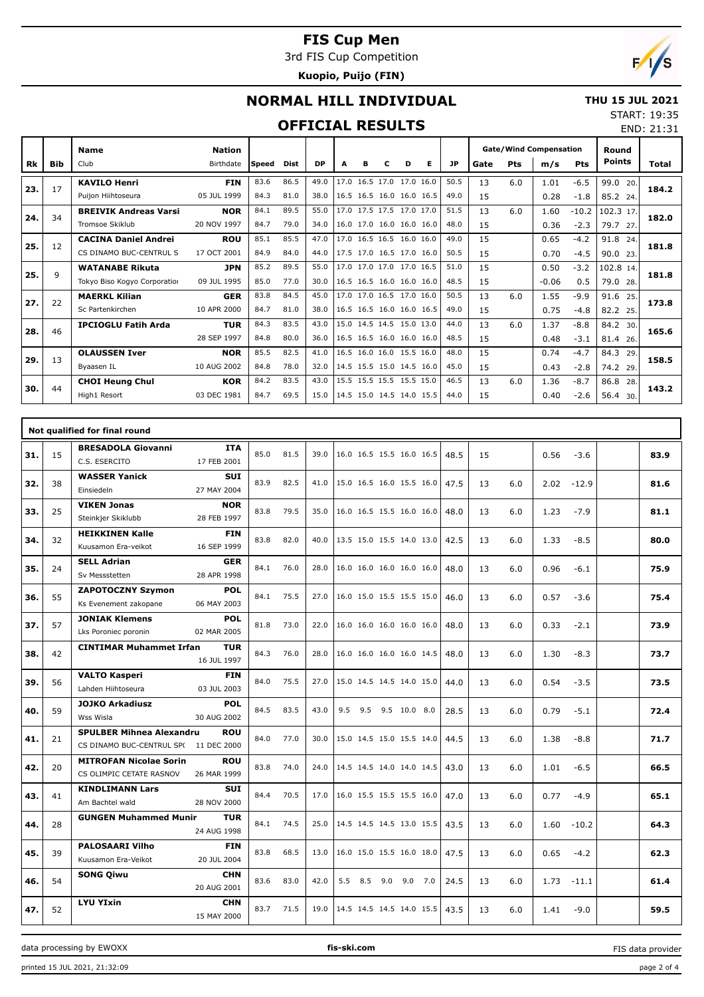3rd FIS Cup Competition

**Kuopio, Puijo (FIN)**



END: 21:31

## **NORMAL HILL INDIVIDUAL**

#### **THU 15 JUL 2021** START: 19:35

#### **OFFICIAL RESULTS**

| Rk  | <b>Bib</b> | <b>Name</b><br>Club          | <b>Nation</b><br>Birthdate | <b>Speed</b> | <b>Dist</b> | <b>DP</b> | A    | в         | с                        | D    | Е    | <b>JP</b> | <b>Gate/Wind Compensation</b><br>Pts<br>Pts<br>Gate<br>m/s |     |         | Round<br><b>Points</b> | Total       |       |  |
|-----|------------|------------------------------|----------------------------|--------------|-------------|-----------|------|-----------|--------------------------|------|------|-----------|------------------------------------------------------------|-----|---------|------------------------|-------------|-------|--|
|     |            |                              |                            |              |             |           |      |           |                          |      |      |           |                                                            |     |         |                        |             |       |  |
| 23. | 17         | <b>KAVILO Henri</b>          | <b>FIN</b>                 | 83.6         | 86.5        | 49.0      | 17.0 | 16.5 17.0 |                          | 17.0 | 16.0 | 50.5      | 13                                                         | 6.0 | 1.01    | $-6.5$                 | 99.0<br>20. | 184.2 |  |
|     |            | Puijon Hiihtoseura           | 05 JUL 1999                | 84.3         | 81.0        | 38.0      |      |           | 16.5 16.5 16.0 16.0 16.5 |      |      | 49.0      | 15                                                         |     | 0.28    | $-1.8$                 | 85.2 24.    |       |  |
| 24. | 34         | <b>BREIVIK Andreas Varsi</b> | <b>NOR</b>                 | 84.1         | 89.5        | 55.0      |      |           | 17.0 17.5 17.5 17.0 17.0 |      |      | 51.5      | 13                                                         | 6.0 | 1.60    | $-10.2$                | 102.3 17.   | 182.0 |  |
|     |            | <b>Tromsoe Skiklub</b>       | 20 NOV 1997                | 84.7         | 79.0        | 34.0      |      |           | 16.0 17.0 16.0 16.0 16.0 |      |      | 48.0      | 15                                                         |     | 0.36    | $-2.3$                 | 79.7 27.    |       |  |
| 25. | 12         | <b>CACINA Daniel Andrei</b>  | <b>ROU</b>                 | 85.1         | 85.5        | 47.0      |      |           | 17.0 16.5 16.5 16.0 16.0 |      |      | 49.0      | 15                                                         |     | 0.65    | $-4.2$                 | 91.8<br>24. | 181.8 |  |
|     |            | CS DINAMO BUC-CENTRUL S      | 17 OCT 2001                | 84.9         | 84.0        | 44.0      |      |           | 17.5 17.0 16.5 17.0 16.0 |      |      | 50.5      | 15                                                         |     | 0.70    | $-4.5$                 | 90.0 23.    |       |  |
| 25. | 9          | <b>WATANABE Rikuta</b>       | <b>JPN</b>                 | 85.2         | 89.5        | 55.0      | 17.0 |           | 17.0 17.0 17.0 16.5      |      |      | 51.0      | 15                                                         |     | 0.50    | $-3.2$                 | 102.8 14.   | 181.8 |  |
|     |            | Tokyo Biso Kogyo Corporation | 09 JUL 1995                | 85.0         | 77.0        | 30.0      |      |           | 16.5 16.5 16.0 16.0 16.0 |      |      | 48.5      | 15                                                         |     | $-0.06$ | 0.5                    | 79.0<br>28. |       |  |
| 27. | 22         | <b>MAERKL Kilian</b>         | <b>GER</b>                 | 83.8         | 84.5        | 45.0      | 17.0 |           | 17.0 16.5 17.0 16.0      |      |      | 50.5      | 13                                                         | 6.0 | 1.55    | $-9.9$                 | 91.6<br>25. | 173.8 |  |
|     |            | Sc Partenkirchen             | 10 APR 2000                | 84.7         | 81.0        | 38.0      |      |           | 16.5 16.5 16.0 16.0 16.5 |      |      | 49.0      | 15                                                         |     | 0.75    | $-4.8$                 | 82.2 25.    |       |  |
| 28. | 46         | <b>IPCIOGLU Fatih Arda</b>   | <b>TUR</b>                 | 84.3         | 83.5        | 43.0      | 15.0 |           | 14.5 14.5 15.0 13.0      |      |      | 44.0      | 13                                                         | 6.0 | 1.37    | $-8.8$                 | 84.2<br>30. | 165.6 |  |
|     |            |                              | 28 SEP 1997                | 84.8         | 80.0        | 36.0      |      |           | 16.5 16.5 16.0 16.0 16.0 |      |      | 48.5      | 15                                                         |     | 0.48    | $-3.1$                 | 81.4<br>26. |       |  |
| 29. | 13         | <b>OLAUSSEN Iver</b>         | <b>NOR</b>                 | 85.5         | 82.5        | 41.0      |      |           | 16.5 16.0 16.0 15.5 16.0 |      |      | 48.0      | 15                                                         |     | 0.74    | $-4.7$                 | 84.3<br>29. | 158.5 |  |
|     |            | Byaasen IL                   | 10 AUG 2002                | 84.8         | 78.0        | 32.0      |      |           | 14.5 15.5 15.0 14.5 16.0 |      |      | 45.0      | 15                                                         |     | 0.43    | $-2.8$                 | 74.2 29.    |       |  |
| 30. | 44         | <b>CHOI Heung Chul</b>       | <b>KOR</b>                 | 84.2         | 83.5        | 43.0      |      |           | 15.5 15.5 15.5 15.5 15.0 |      |      | 46.5      | 13                                                         | 6.0 | 1.36    | $-8.7$                 | 86.8<br>28. | 143.2 |  |
|     |            | High1 Resort                 | 03 DEC 1981                | 84.7         | 69.5        | 15.0      |      |           | 14.5 15.0 14.5 14.0 15.5 |      |      | 44.0      | 15                                                         |     | 0.40    | $-2.6$                 | 56.4 30.    |       |  |

|     |    | Not qualified for final round                                           |                           |      |      |      |                          |     |              |      |    |     |      |         |      |
|-----|----|-------------------------------------------------------------------------|---------------------------|------|------|------|--------------------------|-----|--------------|------|----|-----|------|---------|------|
| 31. | 15 | <b>BRESADOLA Giovanni</b><br>C.S. ESERCITO                              | <b>ITA</b><br>17 FEB 2001 | 85.0 | 81.5 | 39.0 | 16.0 16.5 15.5 16.0 16.5 |     |              | 48.5 | 15 |     | 0.56 | $-3.6$  | 83.9 |
| 32. | 38 | <b>WASSER Yanick</b><br>Einsiedeln                                      | <b>SUI</b><br>27 MAY 2004 | 83.9 | 82.5 | 41.0 | 15.0 16.5 16.0 15.5 16.0 |     |              | 47.5 | 13 | 6.0 | 2.02 | $-12.9$ | 81.6 |
| 33. | 25 | <b>VIKEN Jonas</b><br>Steinkjer Skiklubb                                | <b>NOR</b><br>28 FEB 1997 | 83.8 | 79.5 | 35.0 | 16.0 16.5 15.5 16.0 16.0 |     |              | 48.0 | 13 | 6.0 | 1.23 | $-7.9$  | 81.1 |
| 34. | 32 | <b>HEIKKINEN Kalle</b><br>Kuusamon Era-veikot                           | <b>FIN</b><br>16 SEP 1999 | 83.8 | 82.0 | 40.0 | 13.5 15.0 15.5 14.0 13.0 |     |              | 42.5 | 13 | 6.0 | 1.33 | $-8.5$  | 80.0 |
| 35. | 24 | <b>SELL Adrian</b><br>Sv Messstetten                                    | <b>GER</b><br>28 APR 1998 | 84.1 | 76.0 | 28.0 | 16.0 16.0 16.0 16.0 16.0 |     |              | 48.0 | 13 | 6.0 | 0.96 | $-6.1$  | 75.9 |
| 36. | 55 | <b>ZAPOTOCZNY Szymon</b><br>Ks Evenement zakopane                       | <b>POL</b><br>06 MAY 2003 | 84.1 | 75.5 | 27.0 | 16.0 15.0 15.5 15.5 15.0 |     |              | 46.0 | 13 | 6.0 | 0.57 | $-3.6$  | 75.4 |
| 37. | 57 | <b>JONIAK Klemens</b><br>Lks Poroniec poronin                           | <b>POL</b><br>02 MAR 2005 | 81.8 | 73.0 | 22.0 | 16.0 16.0 16.0 16.0 16.0 |     |              | 48.0 | 13 | 6.0 | 0.33 | $-2.1$  | 73.9 |
| 38. | 42 | <b>CINTIMAR Muhammet Irfan</b>                                          | <b>TUR</b><br>16 JUL 1997 | 84.3 | 76.0 | 28.0 | 16.0 16.0 16.0 16.0 14.5 |     |              | 48.0 | 13 | 6.0 | 1.30 | $-8.3$  | 73.7 |
| 39. | 56 | <b>VALTO Kasperi</b><br>Lahden Hiihtoseura                              | <b>FIN</b><br>03 JUL 2003 | 84.0 | 75.5 | 27.0 | 15.0 14.5 14.5 14.0 15.0 |     |              | 44.0 | 13 | 6.0 | 0.54 | $-3.5$  | 73.5 |
| 40. | 59 | <b>JOJKO Arkadiusz</b><br>Wss Wisla                                     | <b>POL</b><br>30 AUG 2002 | 84.5 | 83.5 | 43.0 | 9.5<br>9.5               |     | 9.5 10.0 8.0 | 28.5 | 13 | 6.0 | 0.79 | $-5.1$  | 72.4 |
| 41. | 21 | <b>SPULBER Mihnea Alexandru</b><br>CS DINAMO BUC-CENTRUL SP(11 DEC 2000 | <b>ROU</b>                | 84.0 | 77.0 | 30.0 | 15.0 14.5 15.0 15.5 14.0 |     |              | 44.5 | 13 | 6.0 | 1.38 | $-8.8$  | 71.7 |
| 42. | 20 | <b>MITROFAN Nicolae Sorin</b><br>CS OLIMPIC CETATE RASNOV               | <b>ROU</b><br>26 MAR 1999 | 83.8 | 74.0 | 24.0 | 14.5 14.5 14.0 14.0 14.5 |     |              | 43.0 | 13 | 6.0 | 1.01 | $-6.5$  | 66.5 |
| 43. | 41 | <b>KINDLIMANN Lars</b><br>Am Bachtel wald                               | <b>SUI</b><br>28 NOV 2000 | 84.4 | 70.5 | 17.0 | 16.0 15.5 15.5 15.5 16.0 |     |              | 47.0 | 13 | 6.0 | 0.77 | $-4.9$  | 65.1 |
| 44. | 28 | <b>GUNGEN Muhammed Munir</b>                                            | <b>TUR</b><br>24 AUG 1998 | 84.1 | 74.5 | 25.0 | 14.5 14.5 14.5 13.0 15.5 |     |              | 43.5 | 13 | 6.0 | 1.60 | $-10.2$ | 64.3 |
| 45. | 39 | <b>PALOSAARI Vilho</b><br>Kuusamon Era-Veikot                           | <b>FIN</b><br>20 JUL 2004 | 83.8 | 68.5 | 13.0 | 16.0 15.0 15.5 16.0 18.0 |     |              | 47.5 | 13 | 6.0 | 0.65 | $-4.2$  | 62.3 |
| 46. | 54 | <b>SONG Qiwu</b>                                                        | <b>CHN</b><br>20 AUG 2001 | 83.6 | 83.0 | 42.0 | 5.5 8.5                  | 9.0 | 9.0<br>7.0   | 24.5 | 13 | 6.0 | 1.73 | $-11.1$ | 61.4 |
| 47. | 52 | <b>LYU YIxin</b>                                                        | <b>CHN</b><br>15 MAY 2000 | 83.7 | 71.5 | 19.0 | 14.5 14.5 14.5 14.0 15.5 |     |              | 43.5 | 13 | 6.0 | 1.41 | $-9.0$  | 59.5 |

data processing by EWOXX **fis-ski.com**

printed 15 JUL 2021, 21:32:09 page 2 of 4

FIS data provider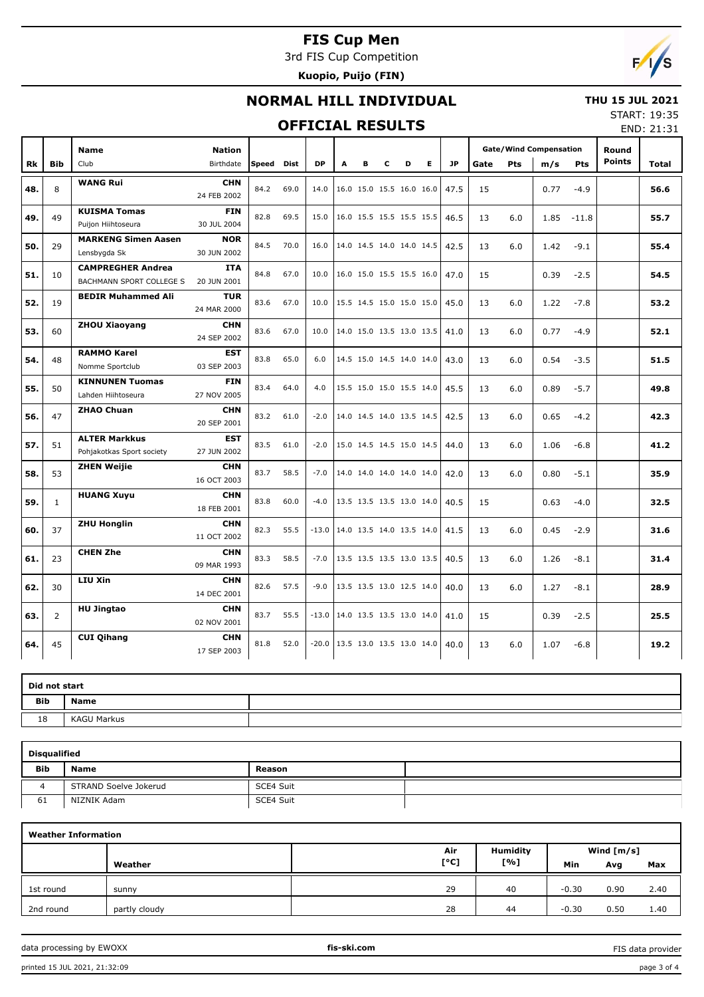3rd FIS Cup Competition

**Kuopio, Puijo (FIN)**



### **NORMAL HILL INDIVIDUAL**



#### **OFFICIAL RESULTS**

START: 19:35 END: 21:31

|     |                | <b>Name</b>                                          | <b>Nation</b>             |            |      |           |   |   |   |                          |    |      | <b>Gate/Wind Compensation</b><br>Gate<br>Pts<br>m/s |     |      |            | Round         |       |
|-----|----------------|------------------------------------------------------|---------------------------|------------|------|-----------|---|---|---|--------------------------|----|------|-----------------------------------------------------|-----|------|------------|---------------|-------|
| Rk  | <b>Bib</b>     | Club                                                 | Birthdate                 | Speed Dist |      | <b>DP</b> | A | в | c | D                        | E. | JP.  |                                                     |     |      | <b>Pts</b> | <b>Points</b> | Total |
| 48. | 8              | <b>WANG Rui</b>                                      | <b>CHN</b><br>24 FEB 2002 | 84.2       | 69.0 | 14.0      |   |   |   | 16.0 15.0 15.5 16.0 16.0 |    | 47.5 | 15                                                  |     | 0.77 | $-4.9$     |               | 56.6  |
| 49. | 49             | <b>KUISMA Tomas</b><br>Puijon Hiihtoseura            | <b>FIN</b><br>30 JUL 2004 | 82.8       | 69.5 | 15.0      |   |   |   | 16.0 15.5 15.5 15.5 15.5 |    | 46.5 | 13                                                  | 6.0 | 1.85 | $-11.8$    |               | 55.7  |
| 50. | 29             | <b>MARKENG Simen Aasen</b><br>Lensbygda Sk           | <b>NOR</b><br>30 JUN 2002 | 84.5       | 70.0 | 16.0      |   |   |   | 14.0 14.5 14.0 14.0 14.5 |    | 42.5 | 13                                                  | 6.0 | 1.42 | $-9.1$     |               | 55.4  |
| 51. | 10             | <b>CAMPREGHER Andrea</b><br>BACHMANN SPORT COLLEGE S | <b>ITA</b><br>20 JUN 2001 | 84.8       | 67.0 | 10.0      |   |   |   | 16.0 15.0 15.5 15.5 16.0 |    | 47.0 | 15                                                  |     | 0.39 | $-2.5$     |               | 54.5  |
| 52. | 19             | <b>BEDIR Muhammed Ali</b>                            | <b>TUR</b><br>24 MAR 2000 | 83.6       | 67.0 | 10.0      |   |   |   | 15.5 14.5 15.0 15.0 15.0 |    | 45.0 | 13                                                  | 6.0 | 1.22 | $-7.8$     |               | 53.2  |
| 53. | 60             | <b>ZHOU Xiaoyang</b>                                 | <b>CHN</b><br>24 SEP 2002 | 83.6       | 67.0 | 10.0      |   |   |   | 14.0 15.0 13.5 13.0 13.5 |    | 41.0 | 13                                                  | 6.0 | 0.77 | $-4.9$     |               | 52.1  |
| 54. | 48             | <b>RAMMO Karel</b><br>Nomme Sportclub                | <b>EST</b><br>03 SEP 2003 | 83.8       | 65.0 | 6.0       |   |   |   | 14.5 15.0 14.5 14.0 14.0 |    | 43.0 | 13                                                  | 6.0 | 0.54 | $-3.5$     |               | 51.5  |
| 55. | 50             | <b>KINNUNEN Tuomas</b><br>Lahden Hiihtoseura         | <b>FIN</b><br>27 NOV 2005 | 83.4       | 64.0 | 4.0       |   |   |   | 15.5 15.0 15.0 15.5 14.0 |    | 45.5 | 13                                                  | 6.0 | 0.89 | $-5.7$     |               | 49.8  |
| 56. | 47             | <b>ZHAO Chuan</b>                                    | <b>CHN</b><br>20 SEP 2001 | 83.2       | 61.0 | $-2.0$    |   |   |   | 14.0 14.5 14.0 13.5 14.5 |    | 42.5 | 13                                                  | 6.0 | 0.65 | $-4.2$     |               | 42.3  |
| 57. | 51             | <b>ALTER Markkus</b><br>Pohjakotkas Sport society    | <b>EST</b><br>27 JUN 2002 | 83.5       | 61.0 | $-2.0$    |   |   |   | 15.0 14.5 14.5 15.0 14.5 |    | 44.0 | 13                                                  | 6.0 | 1.06 | $-6.8$     |               | 41.2  |
| 58. | 53             | <b>ZHEN Weijie</b>                                   | <b>CHN</b><br>16 OCT 2003 | 83.7       | 58.5 | $-7.0$    |   |   |   | 14.0 14.0 14.0 14.0 14.0 |    | 42.0 | 13                                                  | 6.0 | 0.80 | $-5.1$     |               | 35.9  |
| 59. | $\mathbf{1}$   | <b>HUANG Xuyu</b>                                    | <b>CHN</b><br>18 FEB 2001 | 83.8       | 60.0 | $-4.0$    |   |   |   | 13.5 13.5 13.5 13.0 14.0 |    | 40.5 | 15                                                  |     | 0.63 | $-4.0$     |               | 32.5  |
| 60. | 37             | <b>ZHU Honglin</b>                                   | <b>CHN</b><br>11 OCT 2002 | 82.3       | 55.5 | $-13.0$   |   |   |   | 14.0 13.5 14.0 13.5 14.0 |    | 41.5 | 13                                                  | 6.0 | 0.45 | $-2.9$     |               | 31.6  |
| 61. | 23             | <b>CHEN Zhe</b>                                      | <b>CHN</b><br>09 MAR 1993 | 83.3       | 58.5 | $-7.0$    |   |   |   | 13.5 13.5 13.5 13.0 13.5 |    | 40.5 | 13                                                  | 6.0 | 1.26 | $-8.1$     |               | 31.4  |
| 62. | 30             | LIU Xin                                              | <b>CHN</b><br>14 DEC 2001 | 82.6       | 57.5 | $-9.0$    |   |   |   | 13.5 13.5 13.0 12.5 14.0 |    | 40.0 | 13                                                  | 6.0 | 1.27 | $-8.1$     |               | 28.9  |
| 63. | $\overline{2}$ | <b>HU Jingtao</b>                                    | <b>CHN</b><br>02 NOV 2001 | 83.7       | 55.5 | $-13.0$   |   |   |   | 14.0 13.5 13.5 13.0 14.0 |    | 41.0 | 15                                                  |     | 0.39 | $-2.5$     |               | 25.5  |
| 64. | 45             | <b>CUI Qihang</b>                                    | <b>CHN</b><br>17 SEP 2003 | 81.8       | 52.0 | $-20.0$   |   |   |   | 13.5 13.0 13.5 13.0 14.0 |    | 40.0 | 13                                                  | 6.0 | 1.07 | $-6.8$     |               | 19.2  |

| Did not start |                    |  |
|---------------|--------------------|--|
| <b>Bib</b>    | <b>Name</b>        |  |
| 18            | <b>KAGU Markus</b> |  |

| <b>Disqualified</b> |                       |           |  |  |  |  |  |  |  |  |  |  |
|---------------------|-----------------------|-----------|--|--|--|--|--|--|--|--|--|--|
| <b>Bib</b>          | <b>Name</b>           | Reason    |  |  |  |  |  |  |  |  |  |  |
|                     | STRAND Soelve Jokerud | SCE4 Suit |  |  |  |  |  |  |  |  |  |  |
| 61                  | NIZNIK Adam           | SCE4 Suit |  |  |  |  |  |  |  |  |  |  |

| <b>Weather Information</b> |               |      |                 |              |      |      |  |  |  |  |  |  |  |
|----------------------------|---------------|------|-----------------|--------------|------|------|--|--|--|--|--|--|--|
|                            |               | Air  | <b>Humidity</b> | Wind $[m/s]$ |      |      |  |  |  |  |  |  |  |
|                            | Weather       | [°C] | [%]             | Min          | Avg  | Max  |  |  |  |  |  |  |  |
| 1st round                  | sunny         | 29   | 40              | $-0.30$      | 0.90 | 2.40 |  |  |  |  |  |  |  |
| 2nd round                  | partly cloudy | 28   | 44              | $-0.30$      | 0.50 | 1.40 |  |  |  |  |  |  |  |